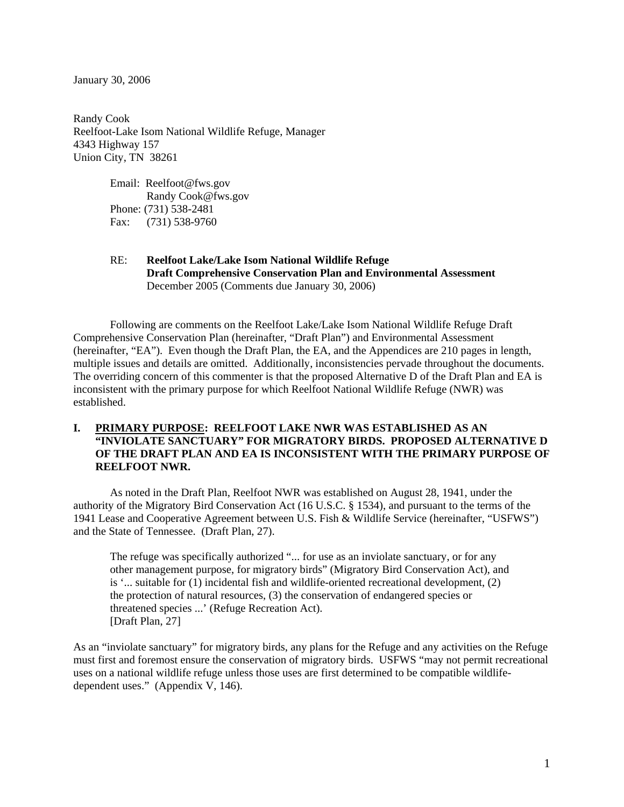January 30, 2006

Randy Cook Reelfoot-Lake Isom National Wildlife Refuge, Manager 4343 Highway 157 Union City, TN 38261

> Email: Reelfoot@fws.gov Randy Cook@fws.gov Phone: (731) 538-2481 Fax: (731) 538-9760

#### RE: **Reelfoot Lake/Lake Isom National Wildlife Refuge Draft Comprehensive Conservation Plan and Environmental Assessment**  December 2005 (Comments due January 30, 2006)

Following are comments on the Reelfoot Lake/Lake Isom National Wildlife Refuge Draft Comprehensive Conservation Plan (hereinafter, "Draft Plan") and Environmental Assessment (hereinafter, "EA"). Even though the Draft Plan, the EA, and the Appendices are 210 pages in length, multiple issues and details are omitted. Additionally, inconsistencies pervade throughout the documents. The overriding concern of this commenter is that the proposed Alternative D of the Draft Plan and EA is inconsistent with the primary purpose for which Reelfoot National Wildlife Refuge (NWR) was established.

# **I. PRIMARY PURPOSE: REELFOOT LAKE NWR WAS ESTABLISHED AS AN "INVIOLATE SANCTUARY" FOR MIGRATORY BIRDS. PROPOSED ALTERNATIVE D OF THE DRAFT PLAN AND EA IS INCONSISTENT WITH THE PRIMARY PURPOSE OF REELFOOT NWR.**

As noted in the Draft Plan, Reelfoot NWR was established on August 28, 1941, under the authority of the Migratory Bird Conservation Act (16 U.S.C. § 1534), and pursuant to the terms of the 1941 Lease and Cooperative Agreement between U.S. Fish & Wildlife Service (hereinafter, "USFWS") and the State of Tennessee. (Draft Plan, 27).

The refuge was specifically authorized "... for use as an inviolate sanctuary, or for any other management purpose, for migratory birds" (Migratory Bird Conservation Act), and is '... suitable for (1) incidental fish and wildlife-oriented recreational development, (2) the protection of natural resources, (3) the conservation of endangered species or threatened species ...' (Refuge Recreation Act). [Draft Plan, 27]

As an "inviolate sanctuary" for migratory birds, any plans for the Refuge and any activities on the Refuge must first and foremost ensure the conservation of migratory birds. USFWS "may not permit recreational uses on a national wildlife refuge unless those uses are first determined to be compatible wildlifedependent uses." (Appendix V, 146).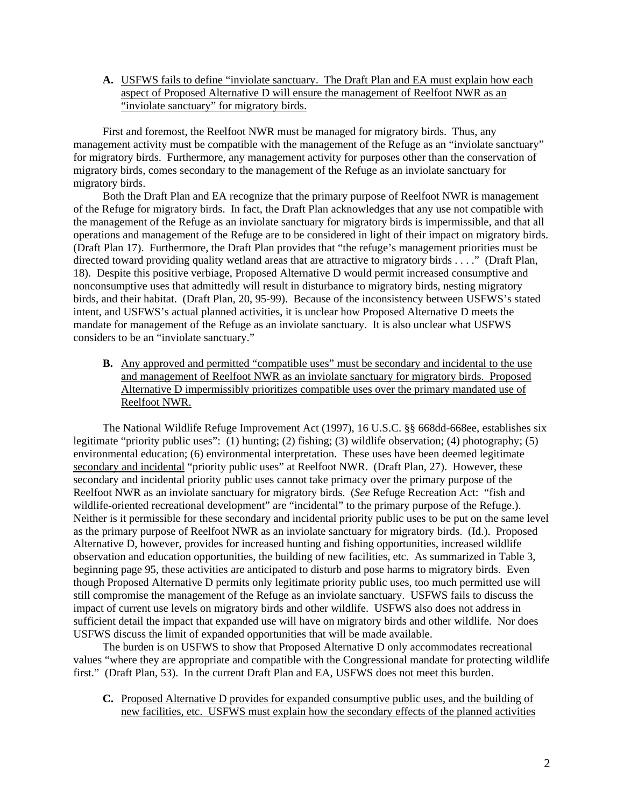**A.** USFWS fails to define "inviolate sanctuary. The Draft Plan and EA must explain how each aspect of Proposed Alternative D will ensure the management of Reelfoot NWR as an "inviolate sanctuary" for migratory birds.

First and foremost, the Reelfoot NWR must be managed for migratory birds. Thus, any management activity must be compatible with the management of the Refuge as an "inviolate sanctuary" for migratory birds. Furthermore, any management activity for purposes other than the conservation of migratory birds, comes secondary to the management of the Refuge as an inviolate sanctuary for migratory birds.

Both the Draft Plan and EA recognize that the primary purpose of Reelfoot NWR is management of the Refuge for migratory birds. In fact, the Draft Plan acknowledges that any use not compatible with the management of the Refuge as an inviolate sanctuary for migratory birds is impermissible, and that all operations and management of the Refuge are to be considered in light of their impact on migratory birds. (Draft Plan 17). Furthermore, the Draft Plan provides that "the refuge's management priorities must be directed toward providing quality wetland areas that are attractive to migratory birds . . . ." (Draft Plan, 18). Despite this positive verbiage, Proposed Alternative D would permit increased consumptive and nonconsumptive uses that admittedly will result in disturbance to migratory birds, nesting migratory birds, and their habitat. (Draft Plan, 20, 95-99). Because of the inconsistency between USFWS's stated intent, and USFWS's actual planned activities, it is unclear how Proposed Alternative D meets the mandate for management of the Refuge as an inviolate sanctuary. It is also unclear what USFWS considers to be an "inviolate sanctuary."

**B.** Any approved and permitted "compatible uses" must be secondary and incidental to the use and management of Reelfoot NWR as an inviolate sanctuary for migratory birds. Proposed Alternative D impermissibly prioritizes compatible uses over the primary mandated use of Reelfoot NWR.

The National Wildlife Refuge Improvement Act (1997), 16 U.S.C. §§ 668dd-668ee, establishes six legitimate "priority public uses": (1) hunting; (2) fishing; (3) wildlife observation; (4) photography; (5) environmental education; (6) environmental interpretation. These uses have been deemed legitimate secondary and incidental "priority public uses" at Reelfoot NWR. (Draft Plan, 27). However, these secondary and incidental priority public uses cannot take primacy over the primary purpose of the Reelfoot NWR as an inviolate sanctuary for migratory birds. (*See* Refuge Recreation Act: "fish and wildlife-oriented recreational development" are "incidental" to the primary purpose of the Refuge.). Neither is it permissible for these secondary and incidental priority public uses to be put on the same level as the primary purpose of Reelfoot NWR as an inviolate sanctuary for migratory birds. (Id.). Proposed Alternative D, however, provides for increased hunting and fishing opportunities, increased wildlife observation and education opportunities, the building of new facilities, etc. As summarized in Table 3, beginning page 95, these activities are anticipated to disturb and pose harms to migratory birds. Even though Proposed Alternative D permits only legitimate priority public uses, too much permitted use will still compromise the management of the Refuge as an inviolate sanctuary. USFWS fails to discuss the impact of current use levels on migratory birds and other wildlife. USFWS also does not address in sufficient detail the impact that expanded use will have on migratory birds and other wildlife. Nor does USFWS discuss the limit of expanded opportunities that will be made available.

The burden is on USFWS to show that Proposed Alternative D only accommodates recreational values "where they are appropriate and compatible with the Congressional mandate for protecting wildlife first." (Draft Plan, 53). In the current Draft Plan and EA, USFWS does not meet this burden.

**C.** Proposed Alternative D provides for expanded consumptive public uses, and the building of new facilities, etc. USFWS must explain how the secondary effects of the planned activities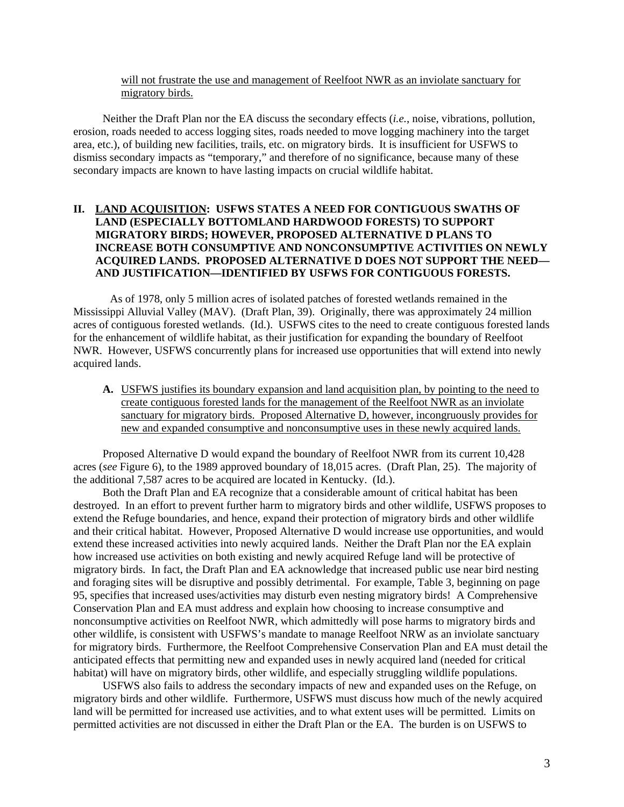#### will not frustrate the use and management of Reelfoot NWR as an inviolate sanctuary for migratory birds.

Neither the Draft Plan nor the EA discuss the secondary effects (*i.e.*, noise, vibrations, pollution, erosion, roads needed to access logging sites, roads needed to move logging machinery into the target area, etc.), of building new facilities, trails, etc. on migratory birds. It is insufficient for USFWS to dismiss secondary impacts as "temporary," and therefore of no significance, because many of these secondary impacts are known to have lasting impacts on crucial wildlife habitat.

### **II. LAND ACQUISITION: USFWS STATES A NEED FOR CONTIGUOUS SWATHS OF LAND (ESPECIALLY BOTTOMLAND HARDWOOD FORESTS) TO SUPPORT MIGRATORY BIRDS; HOWEVER, PROPOSED ALTERNATIVE D PLANS TO INCREASE BOTH CONSUMPTIVE AND NONCONSUMPTIVE ACTIVITIES ON NEWLY ACQUIRED LANDS. PROPOSED ALTERNATIVE D DOES NOT SUPPORT THE NEED— AND JUSTIFICATION—IDENTIFIED BY USFWS FOR CONTIGUOUS FORESTS.**

As of 1978, only 5 million acres of isolated patches of forested wetlands remained in the Mississippi Alluvial Valley (MAV). (Draft Plan, 39). Originally, there was approximately 24 million acres of contiguous forested wetlands. (Id.). USFWS cites to the need to create contiguous forested lands for the enhancement of wildlife habitat, as their justification for expanding the boundary of Reelfoot NWR. However, USFWS concurrently plans for increased use opportunities that will extend into newly acquired lands.

**A.** USFWS justifies its boundary expansion and land acquisition plan, by pointing to the need to create contiguous forested lands for the management of the Reelfoot NWR as an inviolate sanctuary for migratory birds. Proposed Alternative D, however, incongruously provides for new and expanded consumptive and nonconsumptive uses in these newly acquired lands.

Proposed Alternative D would expand the boundary of Reelfoot NWR from its current 10,428 acres (*see* Figure 6), to the 1989 approved boundary of 18,015 acres. (Draft Plan, 25). The majority of the additional 7,587 acres to be acquired are located in Kentucky. (Id.).

Both the Draft Plan and EA recognize that a considerable amount of critical habitat has been destroyed. In an effort to prevent further harm to migratory birds and other wildlife, USFWS proposes to extend the Refuge boundaries, and hence, expand their protection of migratory birds and other wildlife and their critical habitat. However, Proposed Alternative D would increase use opportunities, and would extend these increased activities into newly acquired lands. Neither the Draft Plan nor the EA explain how increased use activities on both existing and newly acquired Refuge land will be protective of migratory birds. In fact, the Draft Plan and EA acknowledge that increased public use near bird nesting and foraging sites will be disruptive and possibly detrimental. For example, Table 3, beginning on page 95, specifies that increased uses/activities may disturb even nesting migratory birds! A Comprehensive Conservation Plan and EA must address and explain how choosing to increase consumptive and nonconsumptive activities on Reelfoot NWR, which admittedly will pose harms to migratory birds and other wildlife, is consistent with USFWS's mandate to manage Reelfoot NRW as an inviolate sanctuary for migratory birds. Furthermore, the Reelfoot Comprehensive Conservation Plan and EA must detail the anticipated effects that permitting new and expanded uses in newly acquired land (needed for critical habitat) will have on migratory birds, other wildlife, and especially struggling wildlife populations.

USFWS also fails to address the secondary impacts of new and expanded uses on the Refuge, on migratory birds and other wildlife. Furthermore, USFWS must discuss how much of the newly acquired land will be permitted for increased use activities, and to what extent uses will be permitted. Limits on permitted activities are not discussed in either the Draft Plan or the EA. The burden is on USFWS to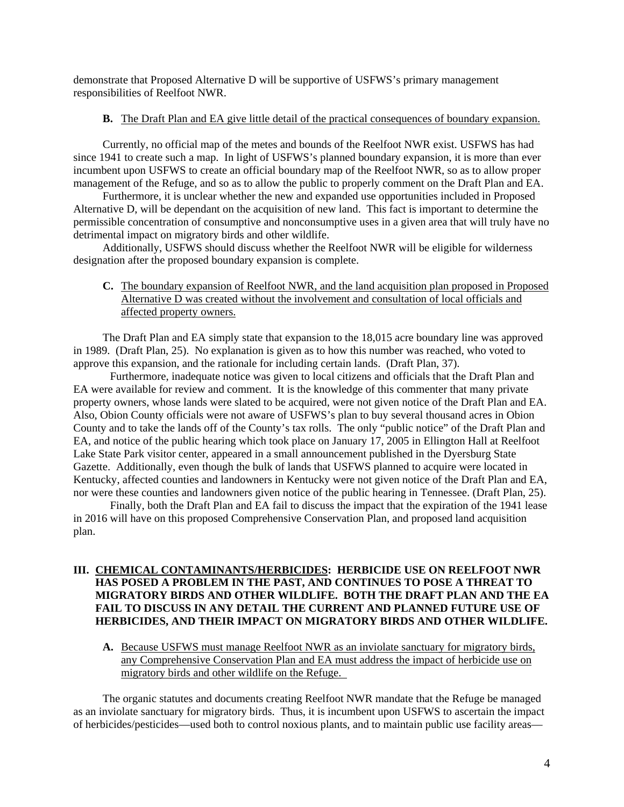demonstrate that Proposed Alternative D will be supportive of USFWS's primary management responsibilities of Reelfoot NWR.

#### **B.** The Draft Plan and EA give little detail of the practical consequences of boundary expansion.

Currently, no official map of the metes and bounds of the Reelfoot NWR exist. USFWS has had since 1941 to create such a map. In light of USFWS's planned boundary expansion, it is more than ever incumbent upon USFWS to create an official boundary map of the Reelfoot NWR, so as to allow proper management of the Refuge, and so as to allow the public to properly comment on the Draft Plan and EA.

Furthermore, it is unclear whether the new and expanded use opportunities included in Proposed Alternative D, will be dependant on the acquisition of new land. This fact is important to determine the permissible concentration of consumptive and nonconsumptive uses in a given area that will truly have no detrimental impact on migratory birds and other wildlife.

Additionally, USFWS should discuss whether the Reelfoot NWR will be eligible for wilderness designation after the proposed boundary expansion is complete.

# **C.** The boundary expansion of Reelfoot NWR, and the land acquisition plan proposed in Proposed Alternative D was created without the involvement and consultation of local officials and affected property owners.

The Draft Plan and EA simply state that expansion to the 18,015 acre boundary line was approved in 1989. (Draft Plan, 25). No explanation is given as to how this number was reached, who voted to approve this expansion, and the rationale for including certain lands. (Draft Plan, 37).

Furthermore, inadequate notice was given to local citizens and officials that the Draft Plan and EA were available for review and comment. It is the knowledge of this commenter that many private property owners, whose lands were slated to be acquired, were not given notice of the Draft Plan and EA. Also, Obion County officials were not aware of USFWS's plan to buy several thousand acres in Obion County and to take the lands off of the County's tax rolls. The only "public notice" of the Draft Plan and EA, and notice of the public hearing which took place on January 17, 2005 in Ellington Hall at Reelfoot Lake State Park visitor center, appeared in a small announcement published in the Dyersburg State Gazette. Additionally, even though the bulk of lands that USFWS planned to acquire were located in Kentucky, affected counties and landowners in Kentucky were not given notice of the Draft Plan and EA, nor were these counties and landowners given notice of the public hearing in Tennessee. (Draft Plan, 25).

Finally, both the Draft Plan and EA fail to discuss the impact that the expiration of the 1941 lease in 2016 will have on this proposed Comprehensive Conservation Plan, and proposed land acquisition plan.

# **III. CHEMICAL CONTAMINANTS/HERBICIDES: HERBICIDE USE ON REELFOOT NWR HAS POSED A PROBLEM IN THE PAST, AND CONTINUES TO POSE A THREAT TO MIGRATORY BIRDS AND OTHER WILDLIFE. BOTH THE DRAFT PLAN AND THE EA FAIL TO DISCUSS IN ANY DETAIL THE CURRENT AND PLANNED FUTURE USE OF HERBICIDES, AND THEIR IMPACT ON MIGRATORY BIRDS AND OTHER WILDLIFE.**

**A.** Because USFWS must manage Reelfoot NWR as an inviolate sanctuary for migratory birds, any Comprehensive Conservation Plan and EA must address the impact of herbicide use on migratory birds and other wildlife on the Refuge.

The organic statutes and documents creating Reelfoot NWR mandate that the Refuge be managed as an inviolate sanctuary for migratory birds. Thus, it is incumbent upon USFWS to ascertain the impact of herbicides/pesticides—used both to control noxious plants, and to maintain public use facility areas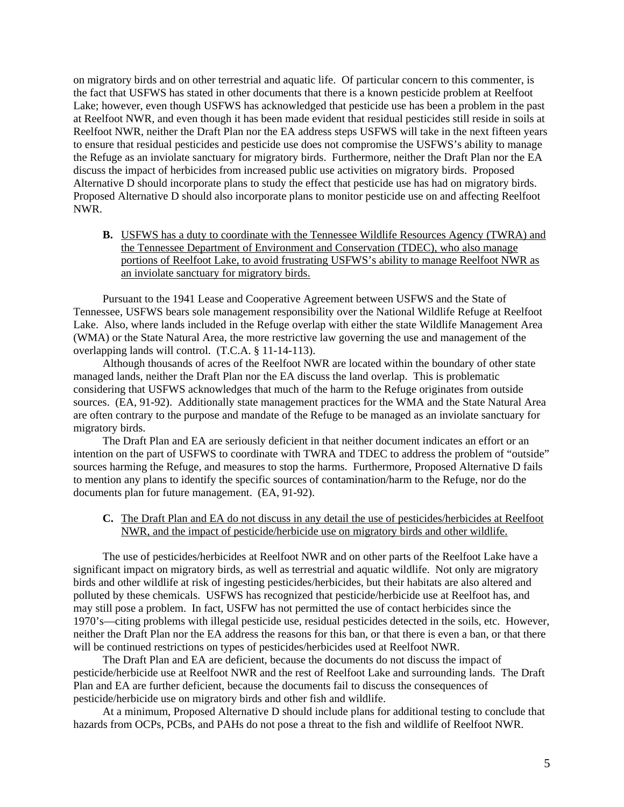on migratory birds and on other terrestrial and aquatic life. Of particular concern to this commenter, is the fact that USFWS has stated in other documents that there is a known pesticide problem at Reelfoot Lake; however, even though USFWS has acknowledged that pesticide use has been a problem in the past at Reelfoot NWR, and even though it has been made evident that residual pesticides still reside in soils at Reelfoot NWR, neither the Draft Plan nor the EA address steps USFWS will take in the next fifteen years to ensure that residual pesticides and pesticide use does not compromise the USFWS's ability to manage the Refuge as an inviolate sanctuary for migratory birds. Furthermore, neither the Draft Plan nor the EA discuss the impact of herbicides from increased public use activities on migratory birds. Proposed Alternative D should incorporate plans to study the effect that pesticide use has had on migratory birds. Proposed Alternative D should also incorporate plans to monitor pesticide use on and affecting Reelfoot NWR.

**B.** USFWS has a duty to coordinate with the Tennessee Wildlife Resources Agency (TWRA) and the Tennessee Department of Environment and Conservation (TDEC), who also manage portions of Reelfoot Lake, to avoid frustrating USFWS's ability to manage Reelfoot NWR as an inviolate sanctuary for migratory birds.

Pursuant to the 1941 Lease and Cooperative Agreement between USFWS and the State of Tennessee, USFWS bears sole management responsibility over the National Wildlife Refuge at Reelfoot Lake. Also, where lands included in the Refuge overlap with either the state Wildlife Management Area (WMA) or the State Natural Area, the more restrictive law governing the use and management of the overlapping lands will control. (T.C.A. § 11-14-113).

Although thousands of acres of the Reelfoot NWR are located within the boundary of other state managed lands, neither the Draft Plan nor the EA discuss the land overlap. This is problematic considering that USFWS acknowledges that much of the harm to the Refuge originates from outside sources. (EA, 91-92). Additionally state management practices for the WMA and the State Natural Area are often contrary to the purpose and mandate of the Refuge to be managed as an inviolate sanctuary for migratory birds.

The Draft Plan and EA are seriously deficient in that neither document indicates an effort or an intention on the part of USFWS to coordinate with TWRA and TDEC to address the problem of "outside" sources harming the Refuge, and measures to stop the harms. Furthermore, Proposed Alternative D fails to mention any plans to identify the specific sources of contamination/harm to the Refuge, nor do the documents plan for future management. (EA, 91-92).

**C.** The Draft Plan and EA do not discuss in any detail the use of pesticides/herbicides at Reelfoot NWR, and the impact of pesticide/herbicide use on migratory birds and other wildlife.

The use of pesticides/herbicides at Reelfoot NWR and on other parts of the Reelfoot Lake have a significant impact on migratory birds, as well as terrestrial and aquatic wildlife. Not only are migratory birds and other wildlife at risk of ingesting pesticides/herbicides, but their habitats are also altered and polluted by these chemicals. USFWS has recognized that pesticide/herbicide use at Reelfoot has, and may still pose a problem. In fact, USFW has not permitted the use of contact herbicides since the 1970's—citing problems with illegal pesticide use, residual pesticides detected in the soils, etc. However, neither the Draft Plan nor the EA address the reasons for this ban, or that there is even a ban, or that there will be continued restrictions on types of pesticides/herbicides used at Reelfoot NWR.

The Draft Plan and EA are deficient, because the documents do not discuss the impact of pesticide/herbicide use at Reelfoot NWR and the rest of Reelfoot Lake and surrounding lands. The Draft Plan and EA are further deficient, because the documents fail to discuss the consequences of pesticide/herbicide use on migratory birds and other fish and wildlife.

At a minimum, Proposed Alternative D should include plans for additional testing to conclude that hazards from OCPs, PCBs, and PAHs do not pose a threat to the fish and wildlife of Reelfoot NWR.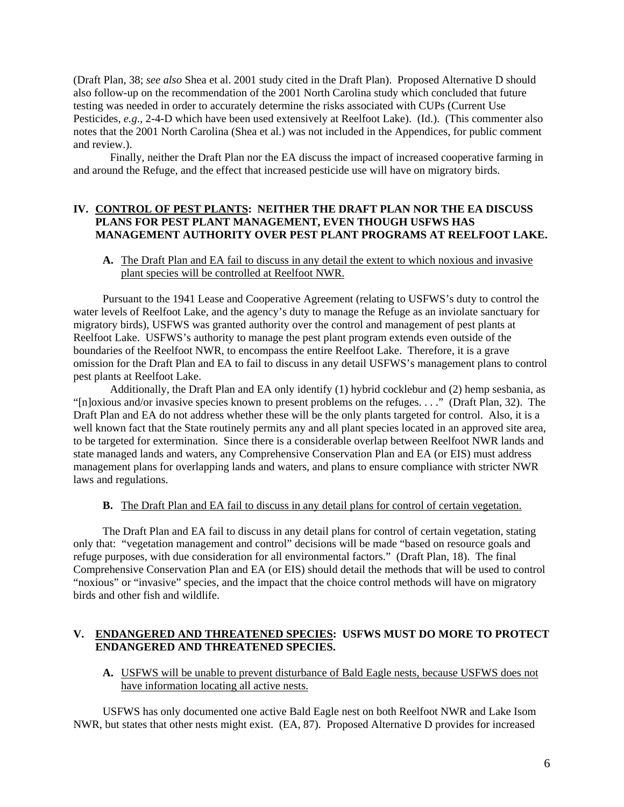(Draft Plan, 38; *see also* Shea et al. 2001 study cited in the Draft Plan). Proposed Alternative D should also follow-up on the recommendation of the 2001 North Carolina study which concluded that future testing was needed in order to accurately determine the risks associated with CUPs (Current Use Pesticides, *e.g*., 2-4-D which have been used extensively at Reelfoot Lake). (Id.). (This commenter also notes that the 2001 North Carolina (Shea et al.) was not included in the Appendices, for public comment and review.).

Finally, neither the Draft Plan nor the EA discuss the impact of increased cooperative farming in and around the Refuge, and the effect that increased pesticide use will have on migratory birds.

#### **IV. CONTROL OF PEST PLANTS: NEITHER THE DRAFT PLAN NOR THE EA DISCUSS PLANS FOR PEST PLANT MANAGEMENT, EVEN THOUGH USFWS HAS MANAGEMENT AUTHORITY OVER PEST PLANT PROGRAMS AT REELFOOT LAKE.**

#### **A.** The Draft Plan and EA fail to discuss in any detail the extent to which noxious and invasive plant species will be controlled at Reelfoot NWR.

Pursuant to the 1941 Lease and Cooperative Agreement (relating to USFWS's duty to control the water levels of Reelfoot Lake, and the agency's duty to manage the Refuge as an inviolate sanctuary for migratory birds), USFWS was granted authority over the control and management of pest plants at Reelfoot Lake. USFWS's authority to manage the pest plant program extends even outside of the boundaries of the Reelfoot NWR, to encompass the entire Reelfoot Lake. Therefore, it is a grave omission for the Draft Plan and EA to fail to discuss in any detail USFWS's management plans to control pest plants at Reelfoot Lake.

Additionally, the Draft Plan and EA only identify (1) hybrid cocklebur and (2) hemp sesbania, as "[n]oxious and/or invasive species known to present problems on the refuges. . . ." (Draft Plan, 32). The Draft Plan and EA do not address whether these will be the only plants targeted for control. Also, it is a well known fact that the State routinely permits any and all plant species located in an approved site area, to be targeted for extermination. Since there is a considerable overlap between Reelfoot NWR lands and state managed lands and waters, any Comprehensive Conservation Plan and EA (or EIS) must address management plans for overlapping lands and waters, and plans to ensure compliance with stricter NWR laws and regulations.

#### **B.** The Draft Plan and EA fail to discuss in any detail plans for control of certain vegetation.

The Draft Plan and EA fail to discuss in any detail plans for control of certain vegetation, stating only that: "vegetation management and control" decisions will be made "based on resource goals and refuge purposes, with due consideration for all environmental factors." (Draft Plan, 18). The final Comprehensive Conservation Plan and EA (or EIS) should detail the methods that will be used to control "noxious" or "invasive" species, and the impact that the choice control methods will have on migratory birds and other fish and wildlife.

#### **V. ENDANGERED AND THREATENED SPECIES: USFWS MUST DO MORE TO PROTECT ENDANGERED AND THREATENED SPECIES.**

### **A.** USFWS will be unable to prevent disturbance of Bald Eagle nests, because USFWS does not have information locating all active nests.

USFWS has only documented one active Bald Eagle nest on both Reelfoot NWR and Lake Isom NWR, but states that other nests might exist. (EA, 87). Proposed Alternative D provides for increased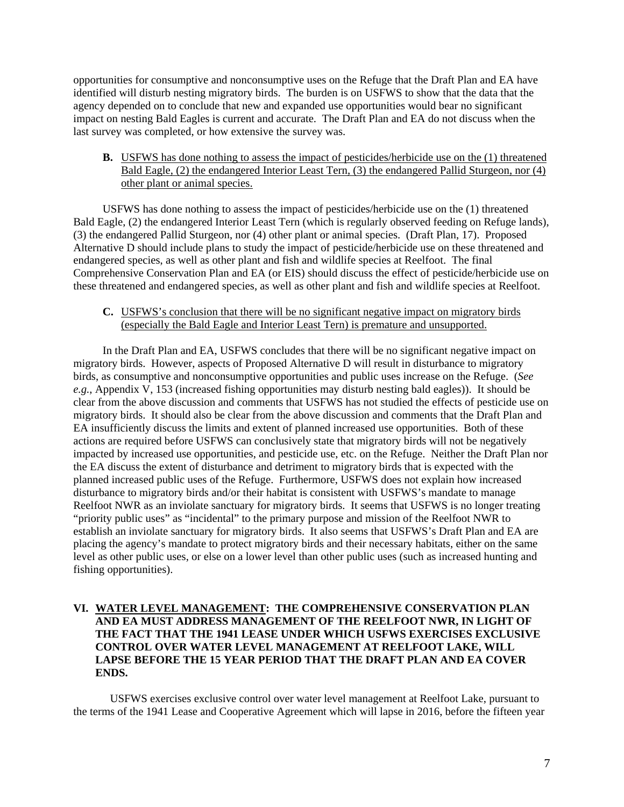opportunities for consumptive and nonconsumptive uses on the Refuge that the Draft Plan and EA have identified will disturb nesting migratory birds. The burden is on USFWS to show that the data that the agency depended on to conclude that new and expanded use opportunities would bear no significant impact on nesting Bald Eagles is current and accurate. The Draft Plan and EA do not discuss when the last survey was completed, or how extensive the survey was.

**B.** USFWS has done nothing to assess the impact of pesticides/herbicide use on the (1) threatened Bald Eagle, (2) the endangered Interior Least Tern, (3) the endangered Pallid Sturgeon, nor (4) other plant or animal species.

USFWS has done nothing to assess the impact of pesticides/herbicide use on the (1) threatened Bald Eagle, (2) the endangered Interior Least Tern (which is regularly observed feeding on Refuge lands), (3) the endangered Pallid Sturgeon, nor (4) other plant or animal species. (Draft Plan, 17). Proposed Alternative D should include plans to study the impact of pesticide/herbicide use on these threatened and endangered species, as well as other plant and fish and wildlife species at Reelfoot. The final Comprehensive Conservation Plan and EA (or EIS) should discuss the effect of pesticide/herbicide use on these threatened and endangered species, as well as other plant and fish and wildlife species at Reelfoot.

### **C.** USFWS's conclusion that there will be no significant negative impact on migratory birds (especially the Bald Eagle and Interior Least Tern) is premature and unsupported.

In the Draft Plan and EA, USFWS concludes that there will be no significant negative impact on migratory birds. However, aspects of Proposed Alternative D will result in disturbance to migratory birds, as consumptive and nonconsumptive opportunities and public uses increase on the Refuge. (*See e.g.*, Appendix V, 153 (increased fishing opportunities may disturb nesting bald eagles)). It should be clear from the above discussion and comments that USFWS has not studied the effects of pesticide use on migratory birds. It should also be clear from the above discussion and comments that the Draft Plan and EA insufficiently discuss the limits and extent of planned increased use opportunities. Both of these actions are required before USFWS can conclusively state that migratory birds will not be negatively impacted by increased use opportunities, and pesticide use, etc. on the Refuge. Neither the Draft Plan nor the EA discuss the extent of disturbance and detriment to migratory birds that is expected with the planned increased public uses of the Refuge. Furthermore, USFWS does not explain how increased disturbance to migratory birds and/or their habitat is consistent with USFWS's mandate to manage Reelfoot NWR as an inviolate sanctuary for migratory birds. It seems that USFWS is no longer treating "priority public uses" as "incidental" to the primary purpose and mission of the Reelfoot NWR to establish an inviolate sanctuary for migratory birds. It also seems that USFWS's Draft Plan and EA are placing the agency's mandate to protect migratory birds and their necessary habitats, either on the same level as other public uses, or else on a lower level than other public uses (such as increased hunting and fishing opportunities).

## **VI. WATER LEVEL MANAGEMENT: THE COMPREHENSIVE CONSERVATION PLAN AND EA MUST ADDRESS MANAGEMENT OF THE REELFOOT NWR, IN LIGHT OF THE FACT THAT THE 1941 LEASE UNDER WHICH USFWS EXERCISES EXCLUSIVE CONTROL OVER WATER LEVEL MANAGEMENT AT REELFOOT LAKE, WILL LAPSE BEFORE THE 15 YEAR PERIOD THAT THE DRAFT PLAN AND EA COVER ENDS.**

USFWS exercises exclusive control over water level management at Reelfoot Lake, pursuant to the terms of the 1941 Lease and Cooperative Agreement which will lapse in 2016, before the fifteen year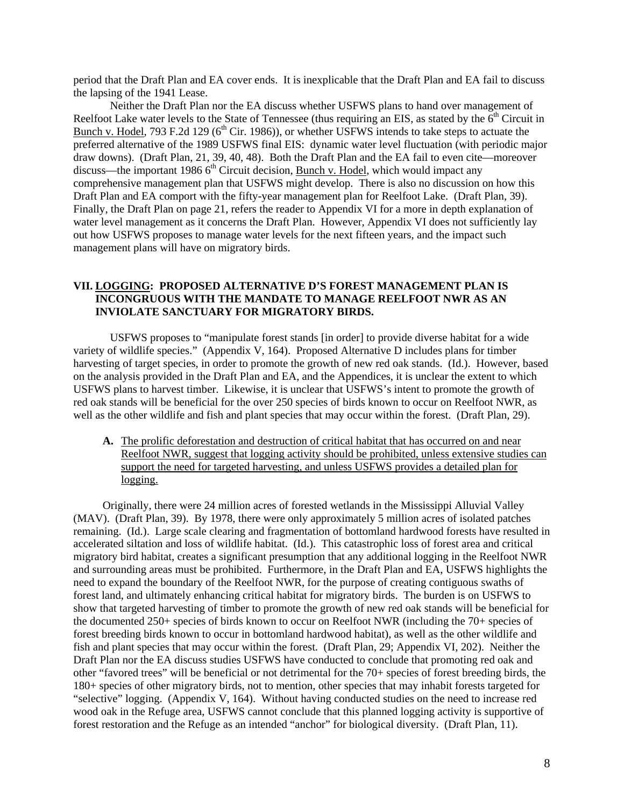period that the Draft Plan and EA cover ends. It is inexplicable that the Draft Plan and EA fail to discuss the lapsing of the 1941 Lease.

Neither the Draft Plan nor the EA discuss whether USFWS plans to hand over management of Reelfoot Lake water levels to the State of Tennessee (thus requiring an EIS, as stated by the  $6<sup>th</sup>$  Circuit in Bunch v. Hodel, 793 F.2d 129 ( $6<sup>th</sup>$  Cir. 1986)), or whether USFWS intends to take steps to actuate the preferred alternative of the 1989 USFWS final EIS: dynamic water level fluctuation (with periodic major draw downs). (Draft Plan, 21, 39, 40, 48). Both the Draft Plan and the EA fail to even cite—moreover discuss—the important 1986  $6<sup>th</sup>$  Circuit decision, Bunch v. Hodel, which would impact any comprehensive management plan that USFWS might develop. There is also no discussion on how this Draft Plan and EA comport with the fifty-year management plan for Reelfoot Lake. (Draft Plan, 39). Finally, the Draft Plan on page 21, refers the reader to Appendix VI for a more in depth explanation of water level management as it concerns the Draft Plan. However, Appendix VI does not sufficiently lay out how USFWS proposes to manage water levels for the next fifteen years, and the impact such management plans will have on migratory birds.

### **VII. LOGGING: PROPOSED ALTERNATIVE D'S FOREST MANAGEMENT PLAN IS INCONGRUOUS WITH THE MANDATE TO MANAGE REELFOOT NWR AS AN INVIOLATE SANCTUARY FOR MIGRATORY BIRDS.**

USFWS proposes to "manipulate forest stands [in order] to provide diverse habitat for a wide variety of wildlife species." (Appendix V, 164). Proposed Alternative D includes plans for timber harvesting of target species, in order to promote the growth of new red oak stands. (Id.). However, based on the analysis provided in the Draft Plan and EA, and the Appendices, it is unclear the extent to which USFWS plans to harvest timber. Likewise, it is unclear that USFWS's intent to promote the growth of red oak stands will be beneficial for the over 250 species of birds known to occur on Reelfoot NWR, as well as the other wildlife and fish and plant species that may occur within the forest. (Draft Plan, 29).

**A.** The prolific deforestation and destruction of critical habitat that has occurred on and near Reelfoot NWR, suggest that logging activity should be prohibited, unless extensive studies can support the need for targeted harvesting, and unless USFWS provides a detailed plan for logging.

Originally, there were 24 million acres of forested wetlands in the Mississippi Alluvial Valley (MAV). (Draft Plan, 39). By 1978, there were only approximately 5 million acres of isolated patches remaining. (Id.). Large scale clearing and fragmentation of bottomland hardwood forests have resulted in accelerated siltation and loss of wildlife habitat. (Id.). This catastrophic loss of forest area and critical migratory bird habitat, creates a significant presumption that any additional logging in the Reelfoot NWR and surrounding areas must be prohibited. Furthermore, in the Draft Plan and EA, USFWS highlights the need to expand the boundary of the Reelfoot NWR, for the purpose of creating contiguous swaths of forest land, and ultimately enhancing critical habitat for migratory birds. The burden is on USFWS to show that targeted harvesting of timber to promote the growth of new red oak stands will be beneficial for the documented 250+ species of birds known to occur on Reelfoot NWR (including the 70+ species of forest breeding birds known to occur in bottomland hardwood habitat), as well as the other wildlife and fish and plant species that may occur within the forest. (Draft Plan, 29; Appendix VI, 202). Neither the Draft Plan nor the EA discuss studies USFWS have conducted to conclude that promoting red oak and other "favored trees" will be beneficial or not detrimental for the 70+ species of forest breeding birds, the 180+ species of other migratory birds, not to mention, other species that may inhabit forests targeted for "selective" logging. (Appendix V, 164). Without having conducted studies on the need to increase red wood oak in the Refuge area, USFWS cannot conclude that this planned logging activity is supportive of forest restoration and the Refuge as an intended "anchor" for biological diversity. (Draft Plan, 11).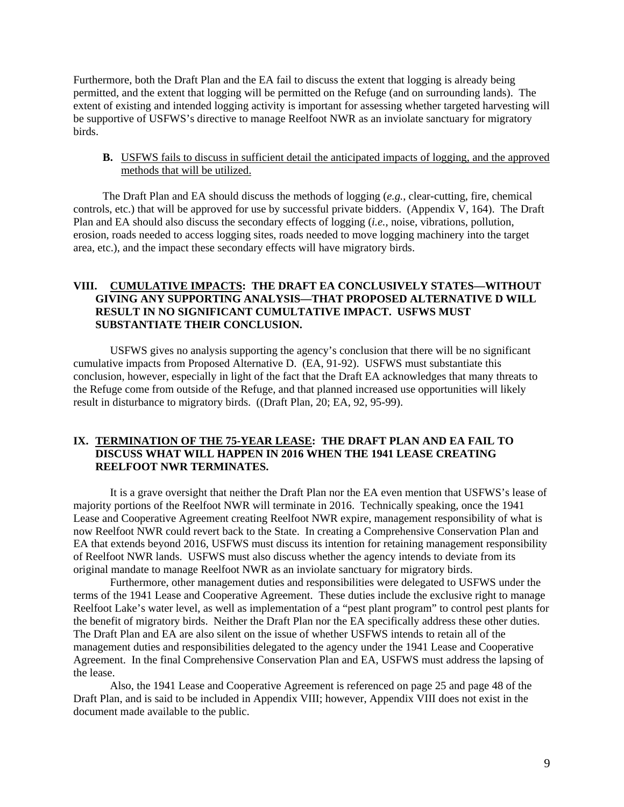Furthermore, both the Draft Plan and the EA fail to discuss the extent that logging is already being permitted, and the extent that logging will be permitted on the Refuge (and on surrounding lands). The extent of existing and intended logging activity is important for assessing whether targeted harvesting will be supportive of USFWS's directive to manage Reelfoot NWR as an inviolate sanctuary for migratory birds.

**B.** USFWS fails to discuss in sufficient detail the anticipated impacts of logging, and the approved methods that will be utilized.

The Draft Plan and EA should discuss the methods of logging (*e.g.*, clear-cutting, fire, chemical controls, etc.) that will be approved for use by successful private bidders. (Appendix V, 164). The Draft Plan and EA should also discuss the secondary effects of logging (*i.e.*, noise, vibrations, pollution, erosion, roads needed to access logging sites, roads needed to move logging machinery into the target area, etc.), and the impact these secondary effects will have migratory birds.

# **VIII. CUMULATIVE IMPACTS: THE DRAFT EA CONCLUSIVELY STATES—WITHOUT GIVING ANY SUPPORTING ANALYSIS—THAT PROPOSED ALTERNATIVE D WILL RESULT IN NO SIGNIFICANT CUMULTATIVE IMPACT. USFWS MUST SUBSTANTIATE THEIR CONCLUSION.**

USFWS gives no analysis supporting the agency's conclusion that there will be no significant cumulative impacts from Proposed Alternative D. (EA, 91-92). USFWS must substantiate this conclusion, however, especially in light of the fact that the Draft EA acknowledges that many threats to the Refuge come from outside of the Refuge, and that planned increased use opportunities will likely result in disturbance to migratory birds. ((Draft Plan, 20; EA, 92, 95-99).

# **IX. TERMINATION OF THE 75-YEAR LEASE: THE DRAFT PLAN AND EA FAIL TO DISCUSS WHAT WILL HAPPEN IN 2016 WHEN THE 1941 LEASE CREATING REELFOOT NWR TERMINATES.**

It is a grave oversight that neither the Draft Plan nor the EA even mention that USFWS's lease of majority portions of the Reelfoot NWR will terminate in 2016. Technically speaking, once the 1941 Lease and Cooperative Agreement creating Reelfoot NWR expire, management responsibility of what is now Reelfoot NWR could revert back to the State. In creating a Comprehensive Conservation Plan and EA that extends beyond 2016, USFWS must discuss its intention for retaining management responsibility of Reelfoot NWR lands. USFWS must also discuss whether the agency intends to deviate from its original mandate to manage Reelfoot NWR as an inviolate sanctuary for migratory birds.

Furthermore, other management duties and responsibilities were delegated to USFWS under the terms of the 1941 Lease and Cooperative Agreement. These duties include the exclusive right to manage Reelfoot Lake's water level, as well as implementation of a "pest plant program" to control pest plants for the benefit of migratory birds. Neither the Draft Plan nor the EA specifically address these other duties. The Draft Plan and EA are also silent on the issue of whether USFWS intends to retain all of the management duties and responsibilities delegated to the agency under the 1941 Lease and Cooperative Agreement. In the final Comprehensive Conservation Plan and EA, USFWS must address the lapsing of the lease.

Also, the 1941 Lease and Cooperative Agreement is referenced on page 25 and page 48 of the Draft Plan, and is said to be included in Appendix VIII; however, Appendix VIII does not exist in the document made available to the public.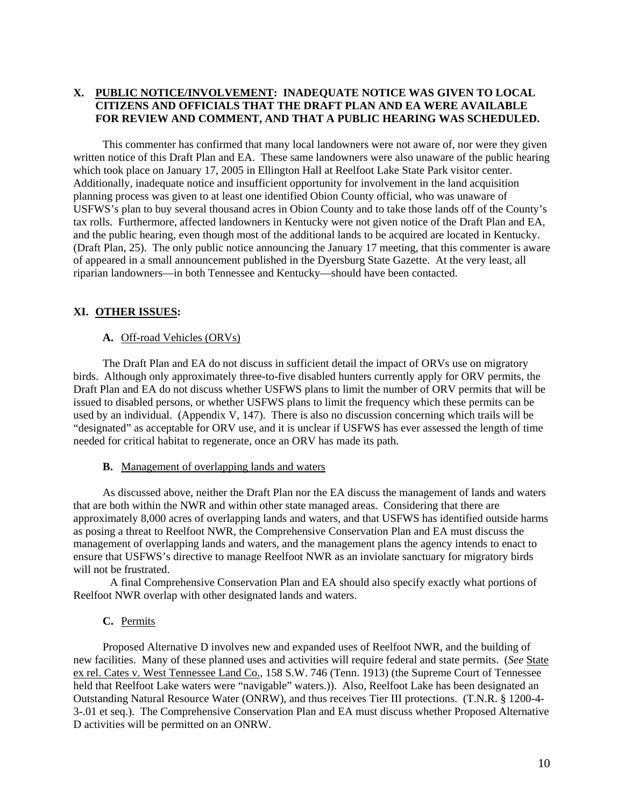# **X. PUBLIC NOTICE/INVOLVEMENT: INADEQUATE NOTICE WAS GIVEN TO LOCAL CITIZENS AND OFFICIALS THAT THE DRAFT PLAN AND EA WERE AVAILABLE FOR REVIEW AND COMMENT, AND THAT A PUBLIC HEARING WAS SCHEDULED.**

This commenter has confirmed that many local landowners were not aware of, nor were they given written notice of this Draft Plan and EA. These same landowners were also unaware of the public hearing which took place on January 17, 2005 in Ellington Hall at Reelfoot Lake State Park visitor center. Additionally, inadequate notice and insufficient opportunity for involvement in the land acquisition planning process was given to at least one identified Obion County official, who was unaware of USFWS's plan to buy several thousand acres in Obion County and to take those lands off of the County's tax rolls. Furthermore, affected landowners in Kentucky were not given notice of the Draft Plan and EA, and the public hearing, even though most of the additional lands to be acquired are located in Kentucky. (Draft Plan, 25). The only public notice announcing the January 17 meeting, that this commenter is aware of appeared in a small announcement published in the Dyersburg State Gazette. At the very least, all riparian landowners—in both Tennessee and Kentucky—should have been contacted.

# **XI. OTHER ISSUES:**

#### **A.** Off-road Vehicles (ORVs)

The Draft Plan and EA do not discuss in sufficient detail the impact of ORVs use on migratory birds. Although only approximately three-to-five disabled hunters currently apply for ORV permits, the Draft Plan and EA do not discuss whether USFWS plans to limit the number of ORV permits that will be issued to disabled persons, or whether USFWS plans to limit the frequency which these permits can be used by an individual. (Appendix V, 147). There is also no discussion concerning which trails will be "designated" as acceptable for ORV use, and it is unclear if USFWS has ever assessed the length of time needed for critical habitat to regenerate, once an ORV has made its path.

#### **B.** Management of overlapping lands and waters

As discussed above, neither the Draft Plan nor the EA discuss the management of lands and waters that are both within the NWR and within other state managed areas. Considering that there are approximately 8,000 acres of overlapping lands and waters, and that USFWS has identified outside harms as posing a threat to Reelfoot NWR, the Comprehensive Conservation Plan and EA must discuss the management of overlapping lands and waters, and the management plans the agency intends to enact to ensure that USFWS's directive to manage Reelfoot NWR as an inviolate sanctuary for migratory birds will not be frustrated.

A final Comprehensive Conservation Plan and EA should also specify exactly what portions of Reelfoot NWR overlap with other designated lands and waters.

## **C.** Permits

Proposed Alternative D involves new and expanded uses of Reelfoot NWR, and the building of new facilities. Many of these planned uses and activities will require federal and state permits. (*See* State ex rel. Cates v. West Tennessee Land Co., 158 S.W. 746 (Tenn. 1913) (the Supreme Court of Tennessee held that Reelfoot Lake waters were "navigable" waters.)). Also, Reelfoot Lake has been designated an Outstanding Natural Resource Water (ONRW), and thus receives Tier III protections. (T.N.R. § 1200-4- 3-.01 et seq.). The Comprehensive Conservation Plan and EA must discuss whether Proposed Alternative D activities will be permitted on an ONRW.